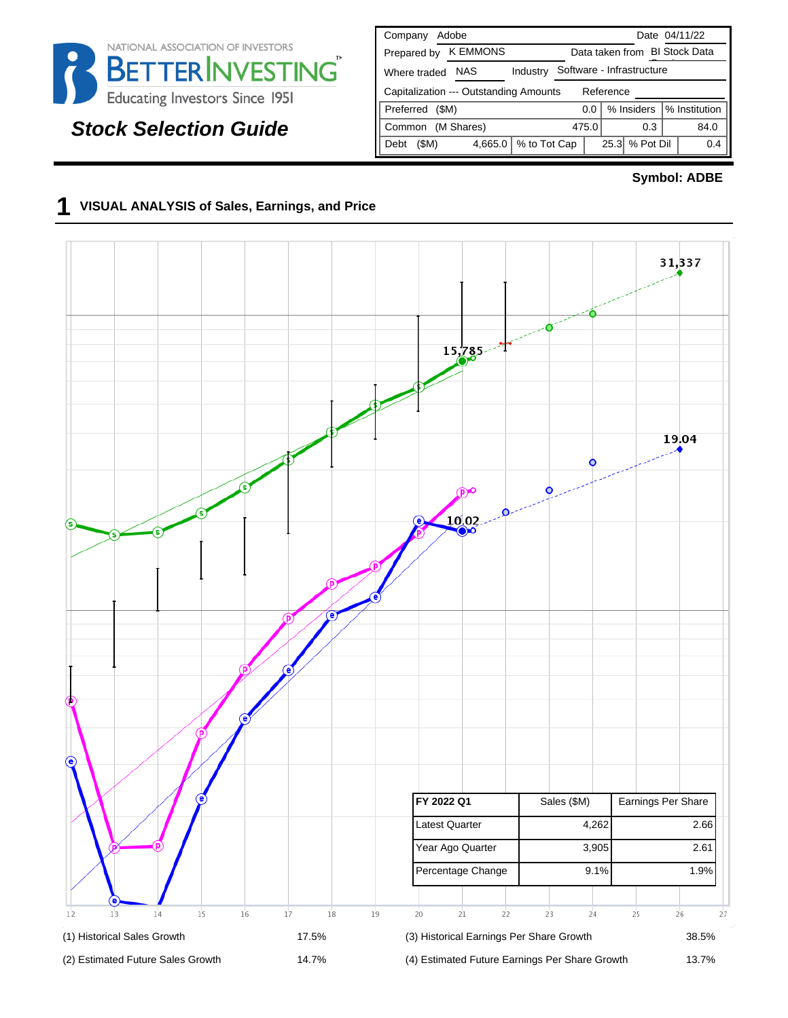

# **Stock Selection Guide**

| Adobe<br>Company                                    | Date 04/11/22                      |  |  |  |  |  |  |
|-----------------------------------------------------|------------------------------------|--|--|--|--|--|--|
| <b>K EMMONS</b><br>Prepared by                      | Data taken from BI Stock Data      |  |  |  |  |  |  |
| <b>NAS</b><br>Industry<br>Where traded              | Software - Infrastructure          |  |  |  |  |  |  |
| Capitalization --- Outstanding Amounts<br>Reference |                                    |  |  |  |  |  |  |
| Preferred<br>(SM)                                   | % Institution<br>% Insiders<br>0.0 |  |  |  |  |  |  |
| (M Shares)<br>Common                                | 475.0<br>84.0<br>0.3               |  |  |  |  |  |  |
| % to Tot Cap<br>(SM)<br>4,665.0<br>Debt             | % Pot Dil<br>25.3<br>0.4           |  |  |  |  |  |  |

#### **Symbol: ADBE**

### **1 VISUAL ANALYSIS of Sales, Earnings, and Price**